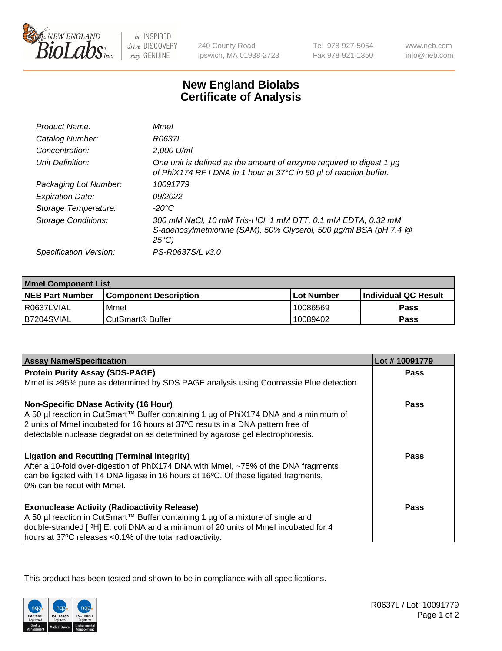

 $be$  INSPIRED drive DISCOVERY stay GENUINE

240 County Road Ipswich, MA 01938-2723 Tel 978-927-5054 Fax 978-921-1350

www.neb.com info@neb.com

## **New England Biolabs Certificate of Analysis**

| Product Name:              | Mmel                                                                                                                                                |
|----------------------------|-----------------------------------------------------------------------------------------------------------------------------------------------------|
| Catalog Number:            | R0637L                                                                                                                                              |
| Concentration:             | 2,000 U/ml                                                                                                                                          |
| Unit Definition:           | One unit is defined as the amount of enzyme required to digest 1 µg<br>of PhiX174 RF I DNA in 1 hour at 37°C in 50 µl of reaction buffer.           |
| Packaging Lot Number:      | 10091779                                                                                                                                            |
| <b>Expiration Date:</b>    | 09/2022                                                                                                                                             |
| Storage Temperature:       | $-20^{\circ}$ C                                                                                                                                     |
| <b>Storage Conditions:</b> | 300 mM NaCl, 10 mM Tris-HCl, 1 mM DTT, 0.1 mM EDTA, 0.32 mM<br>S-adenosylmethionine (SAM), 50% Glycerol, 500 µg/ml BSA (pH 7.4 @<br>$25^{\circ}C$ ) |
| Specification Version:     | PS-R0637S/L v3.0                                                                                                                                    |
|                            |                                                                                                                                                     |

| <b>Mmel Component List</b> |                              |                   |                       |  |
|----------------------------|------------------------------|-------------------|-----------------------|--|
| <b>NEB Part Number</b>     | <b>Component Description</b> | <b>Lot Number</b> | ∣Individual QC Result |  |
| R0637LVIAL                 | Mmel                         | 10086569          | Pass                  |  |
| IB7204SVIAL                | CutSmart <sup>®</sup> Buffer | 10089402          | Pass                  |  |

| <b>Assay Name/Specification</b>                                                                                                                                  | Lot #10091779 |
|------------------------------------------------------------------------------------------------------------------------------------------------------------------|---------------|
| <b>Protein Purity Assay (SDS-PAGE)</b>                                                                                                                           | <b>Pass</b>   |
| Mmel is >95% pure as determined by SDS PAGE analysis using Coomassie Blue detection.                                                                             |               |
| <b>Non-Specific DNase Activity (16 Hour)</b>                                                                                                                     | Pass          |
| A 50 µl reaction in CutSmart™ Buffer containing 1 µg of PhiX174 DNA and a minimum of                                                                             |               |
| 2 units of Mmel incubated for 16 hours at 37°C results in a DNA pattern free of<br>detectable nuclease degradation as determined by agarose gel electrophoresis. |               |
|                                                                                                                                                                  |               |
| <b>Ligation and Recutting (Terminal Integrity)</b>                                                                                                               | Pass          |
| After a 10-fold over-digestion of PhiX174 DNA with Mmel, ~75% of the DNA fragments                                                                               |               |
| can be ligated with T4 DNA ligase in 16 hours at 16°C. Of these ligated fragments,                                                                               |               |
| 0% can be recut with Mmel.                                                                                                                                       |               |
| <b>Exonuclease Activity (Radioactivity Release)</b>                                                                                                              | Pass          |
| A 50 µl reaction in CutSmart™ Buffer containing 1 µg of a mixture of single and                                                                                  |               |
| double-stranded [3H] E. coli DNA and a minimum of 20 units of Mmel incubated for 4                                                                               |               |
| hours at 37°C releases <0.1% of the total radioactivity.                                                                                                         |               |

This product has been tested and shown to be in compliance with all specifications.